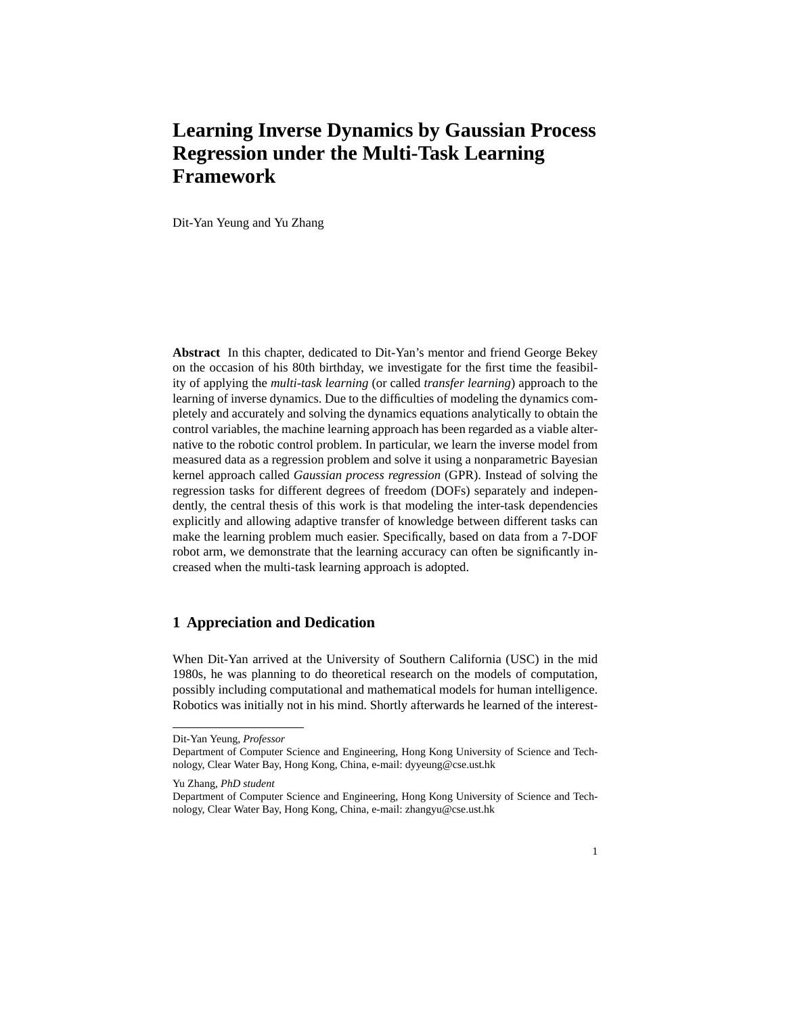# **Learning Inverse Dynamics by Gaussian Process Regression under the Multi-Task Learning Framework**

Dit-Yan Yeung and Yu Zhang

**Abstract** In this chapter, dedicated to Dit-Yan's mentor and friend George Bekey on the occasion of his 80th birthday, we investigate for the first time the feasibility of applying the *multi-task learning* (or called *transfer learning*) approach to the learning of inverse dynamics. Due to the difficulties of modeling the dynamics completely and accurately and solving the dynamics equations analytically to obtain the control variables, the machine learning approach has been regarded as a viable alternative to the robotic control problem. In particular, we learn the inverse model from measured data as a regression problem and solve it using a nonparametric Bayesian kernel approach called *Gaussian process regression* (GPR). Instead of solving the regression tasks for different degrees of freedom (DOFs) separately and independently, the central thesis of this work is that modeling the inter-task dependencies explicitly and allowing adaptive transfer of knowledge between different tasks can make the learning problem much easier. Specifically, based on data from a 7-DOF robot arm, we demonstrate that the learning accuracy can often be significantly increased when the multi-task learning approach is adopted.

# **1 Appreciation and Dedication**

When Dit-Yan arrived at the University of Southern California (USC) in the mid 1980s, he was planning to do theoretical research on the models of computation, possibly including computational and mathematical models for human intelligence. Robotics was initially not in his mind. Shortly afterwards he learned of the interest-

Dit-Yan Yeung, *Professor*

Department of Computer Science and Engineering, Hong Kong University of Science and Technology, Clear Water Bay, Hong Kong, China, e-mail: dyyeung@cse.ust.hk

Yu Zhang, *PhD student*

Department of Computer Science and Engineering, Hong Kong University of Science and Technology, Clear Water Bay, Hong Kong, China, e-mail: zhangyu@cse.ust.hk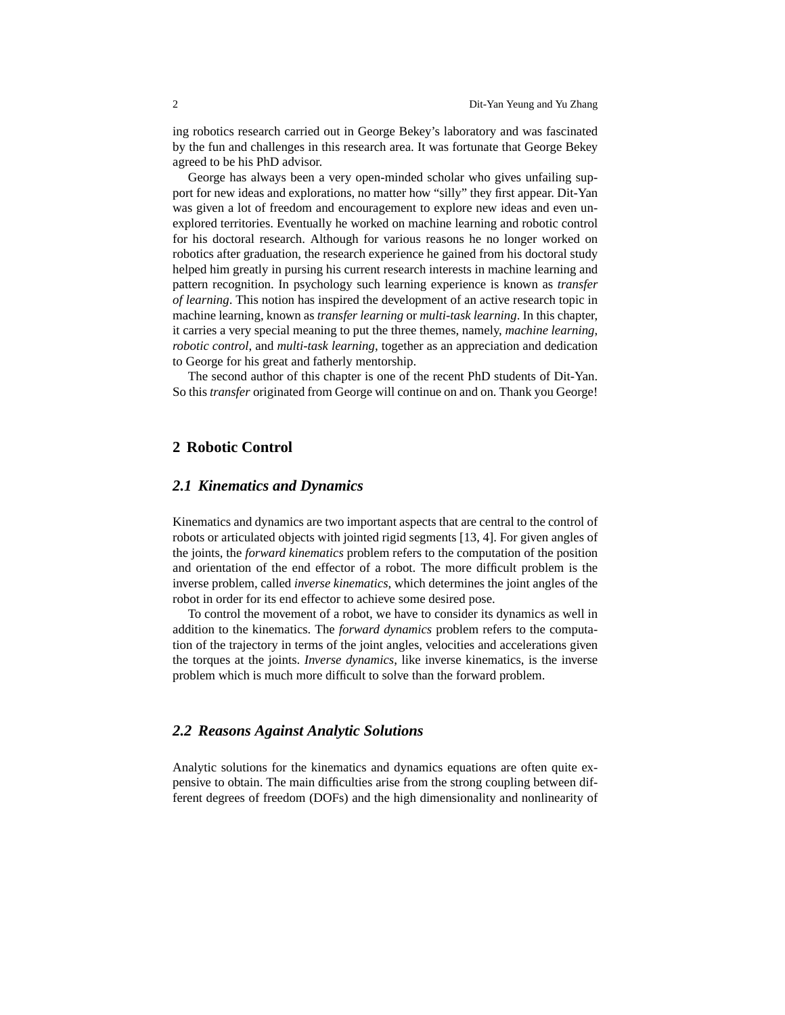ing robotics research carried out in George Bekey's laboratory and was fascinated by the fun and challenges in this research area. It was fortunate that George Bekey agreed to be his PhD advisor.

George has always been a very open-minded scholar who gives unfailing support for new ideas and explorations, no matter how "silly" they first appear. Dit-Yan was given a lot of freedom and encouragement to explore new ideas and even unexplored territories. Eventually he worked on machine learning and robotic control for his doctoral research. Although for various reasons he no longer worked on robotics after graduation, the research experience he gained from his doctoral study helped him greatly in pursing his current research interests in machine learning and pattern recognition. In psychology such learning experience is known as *transfer of learning*. This notion has inspired the development of an active research topic in machine learning, known as *transfer learning* or *multi-task learning*. In this chapter, it carries a very special meaning to put the three themes, namely, *machine learning*, *robotic control*, and *multi-task learning*, together as an appreciation and dedication to George for his great and fatherly mentorship.

The second author of this chapter is one of the recent PhD students of Dit-Yan. So this *transfer* originated from George will continue on and on. Thank you George!

# **2 Robotic Control**

#### *2.1 Kinematics and Dynamics*

Kinematics and dynamics are two important aspects that are central to the control of robots or articulated objects with jointed rigid segments [13, 4]. For given angles of the joints, the *forward kinematics* problem refers to the computation of the position and orientation of the end effector of a robot. The more difficult problem is the inverse problem, called *inverse kinematics*, which determines the joint angles of the robot in order for its end effector to achieve some desired pose.

To control the movement of a robot, we have to consider its dynamics as well in addition to the kinematics. The *forward dynamics* problem refers to the computation of the trajectory in terms of the joint angles, velocities and accelerations given the torques at the joints. *Inverse dynamics*, like inverse kinematics, is the inverse problem which is much more difficult to solve than the forward problem.

#### *2.2 Reasons Against Analytic Solutions*

Analytic solutions for the kinematics and dynamics equations are often quite expensive to obtain. The main difficulties arise from the strong coupling between different degrees of freedom (DOFs) and the high dimensionality and nonlinearity of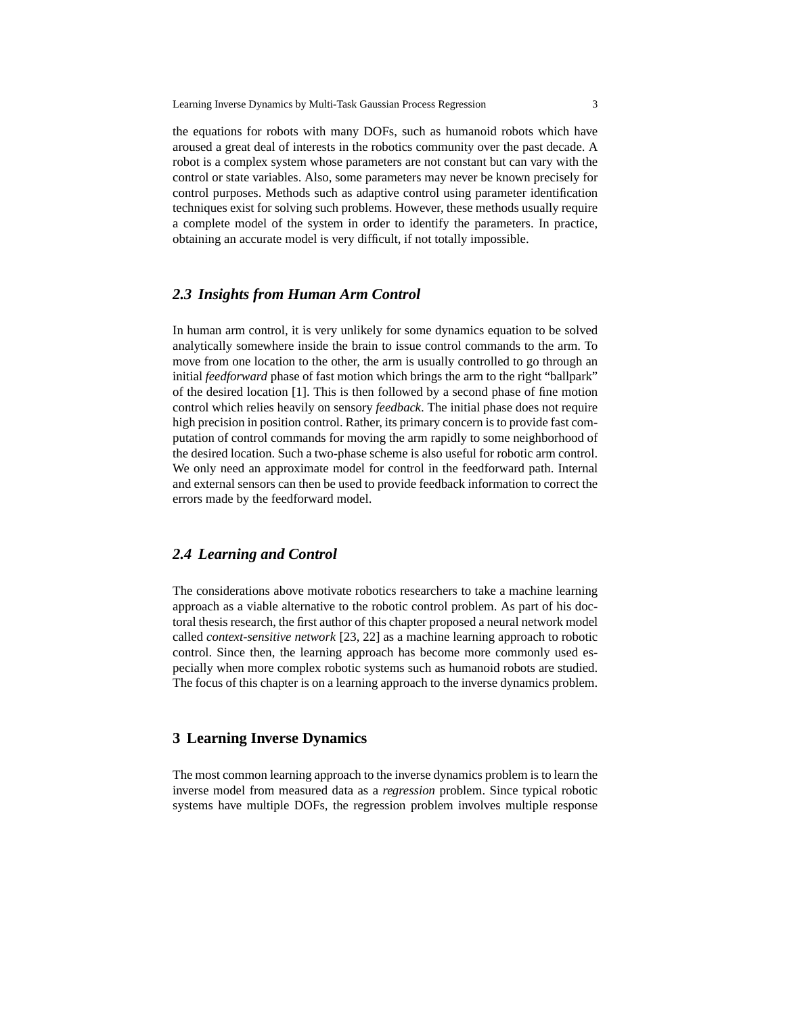the equations for robots with many DOFs, such as humanoid robots which have aroused a great deal of interests in the robotics community over the past decade. A robot is a complex system whose parameters are not constant but can vary with the control or state variables. Also, some parameters may never be known precisely for control purposes. Methods such as adaptive control using parameter identification techniques exist for solving such problems. However, these methods usually require a complete model of the system in order to identify the parameters. In practice, obtaining an accurate model is very difficult, if not totally impossible.

#### *2.3 Insights from Human Arm Control*

In human arm control, it is very unlikely for some dynamics equation to be solved analytically somewhere inside the brain to issue control commands to the arm. To move from one location to the other, the arm is usually controlled to go through an initial *feedforward* phase of fast motion which brings the arm to the right "ballpark" of the desired location [1]. This is then followed by a second phase of fine motion control which relies heavily on sensory *feedback*. The initial phase does not require high precision in position control. Rather, its primary concern is to provide fast computation of control commands for moving the arm rapidly to some neighborhood of the desired location. Such a two-phase scheme is also useful for robotic arm control. We only need an approximate model for control in the feedforward path. Internal and external sensors can then be used to provide feedback information to correct the errors made by the feedforward model.

#### *2.4 Learning and Control*

The considerations above motivate robotics researchers to take a machine learning approach as a viable alternative to the robotic control problem. As part of his doctoral thesis research, the first author of this chapter proposed a neural network model called *context-sensitive network* [23, 22] as a machine learning approach to robotic control. Since then, the learning approach has become more commonly used especially when more complex robotic systems such as humanoid robots are studied. The focus of this chapter is on a learning approach to the inverse dynamics problem.

### **3 Learning Inverse Dynamics**

The most common learning approach to the inverse dynamics problem is to learn the inverse model from measured data as a *regression* problem. Since typical robotic systems have multiple DOFs, the regression problem involves multiple response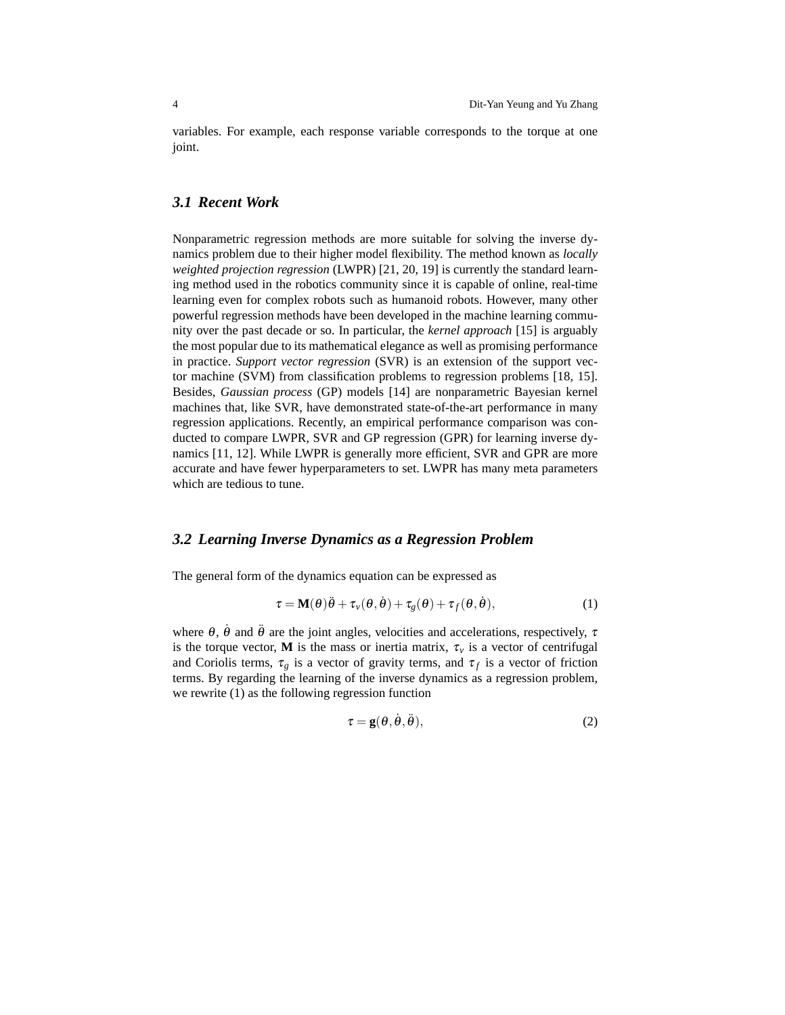variables. For example, each response variable corresponds to the torque at one joint.

#### *3.1 Recent Work*

Nonparametric regression methods are more suitable for solving the inverse dynamics problem due to their higher model flexibility. The method known as *locally weighted projection regression* (LWPR) [21, 20, 19] is currently the standard learning method used in the robotics community since it is capable of online, real-time learning even for complex robots such as humanoid robots. However, many other powerful regression methods have been developed in the machine learning community over the past decade or so. In particular, the *kernel approach* [15] is arguably the most popular due to its mathematical elegance as well as promising performance in practice. *Support vector regression* (SVR) is an extension of the support vector machine (SVM) from classification problems to regression problems [18, 15]. Besides, *Gaussian process* (GP) models [14] are nonparametric Bayesian kernel machines that, like SVR, have demonstrated state-of-the-art performance in many regression applications. Recently, an empirical performance comparison was conducted to compare LWPR, SVR and GP regression (GPR) for learning inverse dynamics [11, 12]. While LWPR is generally more efficient, SVR and GPR are more accurate and have fewer hyperparameters to set. LWPR has many meta parameters which are tedious to tune.

#### *3.2 Learning Inverse Dynamics as a Regression Problem*

The general form of the dynamics equation can be expressed as

$$
\tau = \mathbf{M}(\theta)\ddot{\theta} + \tau_v(\theta,\dot{\theta}) + \tau_g(\theta) + \tau_f(\theta,\dot{\theta}),
$$
\n(1)

where  $\theta$ ,  $\dot{\theta}$  and  $\ddot{\theta}$  are the joint angles, velocities and accelerations, respectively,  $\tau$ is the torque vector, **M** is the mass or inertia matrix,  $\tau_v$  is a vector of centrifugal and Coriolis terms,  $\tau_g$  is a vector of gravity terms, and  $\tau_f$  is a vector of friction terms. By regarding the learning of the inverse dynamics as a regression problem, we rewrite (1) as the following regression function

$$
\tau = \mathbf{g}(\theta, \dot{\theta}, \ddot{\theta}),\tag{2}
$$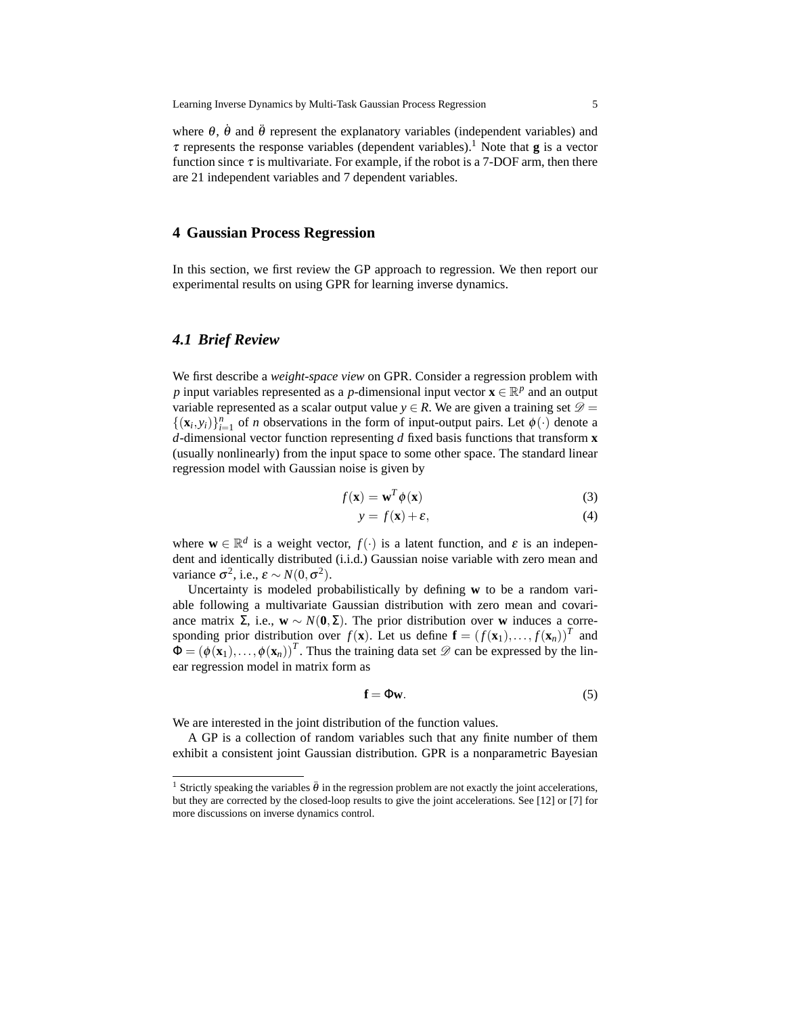where  $\theta$ ,  $\dot{\theta}$  and  $\ddot{\theta}$  represent the explanatory variables (independent variables) and  $\tau$  represents the response variables (dependent variables).<sup>1</sup> Note that **g** is a vector function since  $\tau$  is multivariate. For example, if the robot is a 7-DOF arm, then there are 21 independent variables and 7 dependent variables.

# **4 Gaussian Process Regression**

In this section, we first review the GP approach to regression. We then report our experimental results on using GPR for learning inverse dynamics.

# *4.1 Brief Review*

We first describe a *weight-space view* on GPR. Consider a regression problem with *p* input variables represented as a *p*-dimensional input vector  $\mathbf{x} \in \mathbb{R}^p$  and an output variable represented as a scalar output value  $y \in R$ . We are given a training set  $\mathcal{D} =$  $\{(\mathbf{x}_i, y_i)\}_{i=1}^n$  of *n* observations in the form of input-output pairs. Let  $\phi(\cdot)$  denote a *d*-dimensional vector function representing *d* fixed basis functions that transform **x** (usually nonlinearly) from the input space to some other space. The standard linear regression model with Gaussian noise is given by

$$
f(\mathbf{x}) = \mathbf{w}^T \phi(\mathbf{x})
$$
 (3)

$$
y = f(\mathbf{x}) + \varepsilon,\tag{4}
$$

where  $\mathbf{w} \in \mathbb{R}^d$  is a weight vector,  $f(\cdot)$  is a latent function, and  $\varepsilon$  is an independent and identically distributed (i.i.d.) Gaussian noise variable with zero mean and variance  $\sigma^2$ , i.e.,  $\varepsilon \sim N(0, \sigma^2)$ .

Uncertainty is modeled probabilistically by defining **w** to be a random variable following a multivariate Gaussian distribution with zero mean and covariance matrix Σ, i.e., **w** ~  $N(0, \Sigma)$ . The prior distribution over **w** induces a corresponding prior distribution over  $f(\mathbf{x})$ . Let us define  $\mathbf{f} = (f(\mathbf{x}_1),...,f(\mathbf{x}_n))^T$  and  $\Phi = (\phi(\mathbf{x}_1), \dots, \phi(\mathbf{x}_n))^T$ . Thus the training data set  $\mathscr{D}$  can be expressed by the linear regression model in matrix form as

$$
\mathbf{f} = \Phi \mathbf{w}.\tag{5}
$$

We are interested in the joint distribution of the function values.

A GP is a collection of random variables such that any finite number of them exhibit a consistent joint Gaussian distribution. GPR is a nonparametric Bayesian

<sup>&</sup>lt;sup>1</sup> Strictly speaking the variables  $\ddot{\theta}$  in the regression problem are not exactly the joint accelerations, but they are corrected by the closed-loop results to give the joint accelerations. See [12] or [7] for more discussions on inverse dynamics control.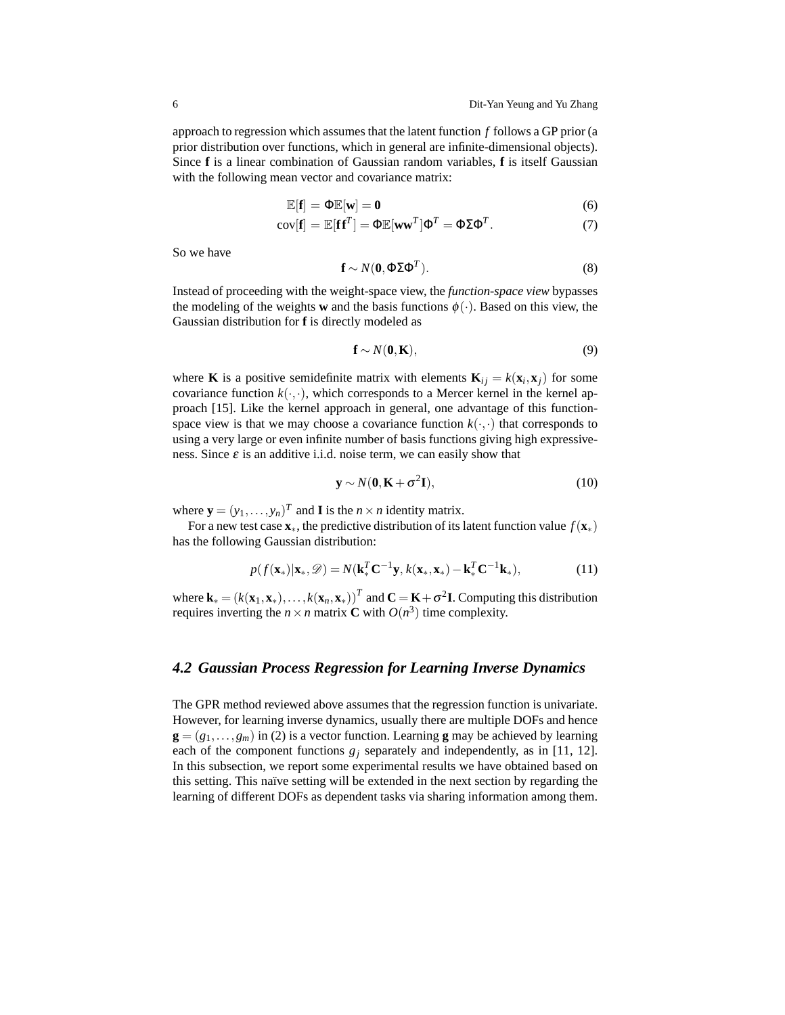approach to regression which assumes that the latent function *f* follows a GP prior (a prior distribution over functions, which in general are infinite-dimensional objects). Since **f** is a linear combination of Gaussian random variables, **f** is itself Gaussian with the following mean vector and covariance matrix:

$$
\mathbb{E}[\mathbf{f}] = \Phi \mathbb{E}[\mathbf{w}] = \mathbf{0} \tag{6}
$$

$$
cov[\mathbf{f}] = \mathbb{E}[\mathbf{f}\mathbf{f}^T] = \Phi \mathbb{E}[\mathbf{w}\mathbf{w}^T]\Phi^T = \Phi \Sigma \Phi^T.
$$
 (7)

So we have

$$
\mathbf{f} \sim N(\mathbf{0}, \Phi \Sigma \Phi^T). \tag{8}
$$

Instead of proceeding with the weight-space view, the *function-space view* bypasses the modeling of the weights **w** and the basis functions  $\phi(\cdot)$ . Based on this view, the Gaussian distribution for **f** is directly modeled as

$$
\mathbf{f} \sim N(\mathbf{0}, \mathbf{K}),\tag{9}
$$

where **K** is a positive semidefinite matrix with elements  $\mathbf{K}_{ij} = k(\mathbf{x}_i, \mathbf{x}_j)$  for some covariance function  $k(\cdot, \cdot)$ , which corresponds to a Mercer kernel in the kernel approach [15]. Like the kernel approach in general, one advantage of this functionspace view is that we may choose a covariance function  $k(\cdot, \cdot)$  that corresponds to using a very large or even infinite number of basis functions giving high expressiveness. Since  $\varepsilon$  is an additive i.i.d. noise term, we can easily show that

$$
\mathbf{y} \sim N(\mathbf{0}, \mathbf{K} + \sigma^2 \mathbf{I}),\tag{10}
$$

where  $\mathbf{y} = (y_1, \dots, y_n)^T$  and **I** is the  $n \times n$  identity matrix.

For a new test case **x**∗, the predictive distribution of its latent function value *f*(**x**∗) has the following Gaussian distribution:

$$
p(f(\mathbf{x}_{*})|\mathbf{x}_{*},\mathcal{D})=N(\mathbf{k}_{*}^{T}\mathbf{C}^{-1}\mathbf{y},k(\mathbf{x}_{*},\mathbf{x}_{*})-\mathbf{k}_{*}^{T}\mathbf{C}^{-1}\mathbf{k}_{*}),
$$
\n(11)

where  $\mathbf{k}_* = (k(\mathbf{x}_1, \mathbf{x}_*), \dots, k(\mathbf{x}_n, \mathbf{x}_*))^T$  and  $\mathbf{C} = \mathbf{K} + \sigma^2 \mathbf{I}$ . Computing this distribution requires inverting the  $n \times n$  matrix **C** with  $O(n^3)$  time complexity.

#### *4.2 Gaussian Process Regression for Learning Inverse Dynamics*

The GPR method reviewed above assumes that the regression function is univariate. However, for learning inverse dynamics, usually there are multiple DOFs and hence  $\mathbf{g} = (g_1, \ldots, g_m)$  in (2) is a vector function. Learning **g** may be achieved by learning each of the component functions  $g_j$  separately and independently, as in [11, 12]. In this subsection, we report some experimental results we have obtained based on this setting. This naïve setting will be extended in the next section by regarding the learning of different DOFs as dependent tasks via sharing information among them.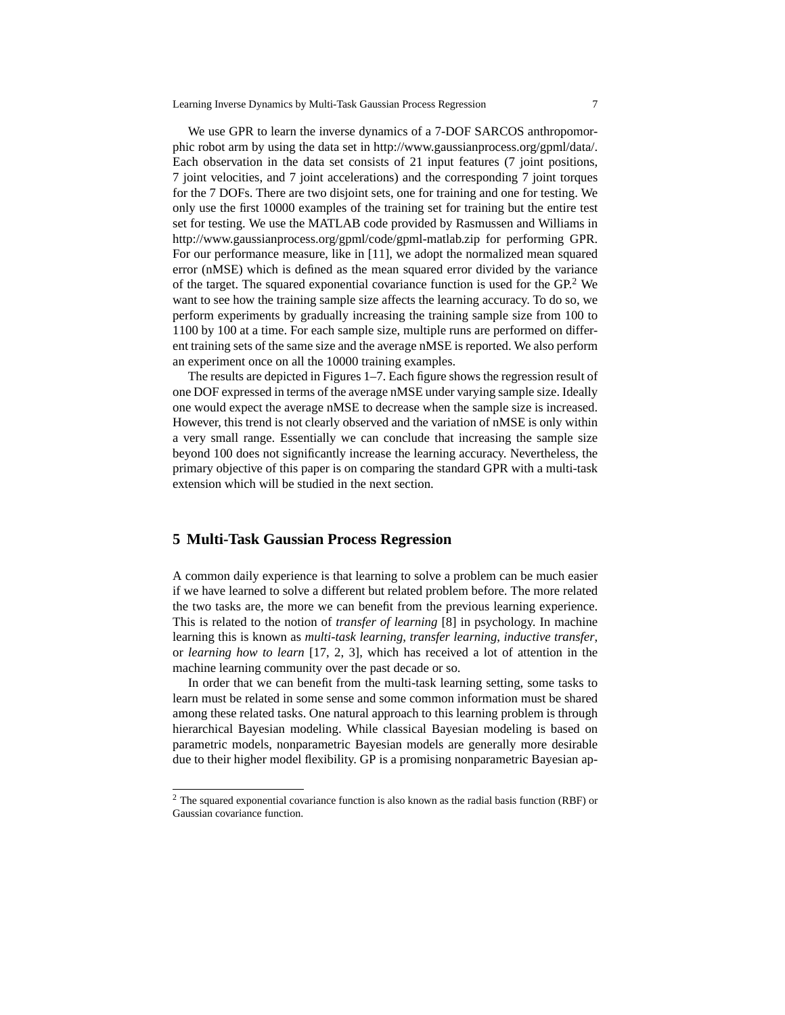We use GPR to learn the inverse dynamics of a 7-DOF SARCOS anthropomorphic robot arm by using the data set in http://www.gaussianprocess.org/gpml/data/. Each observation in the data set consists of 21 input features (7 joint positions, 7 joint velocities, and 7 joint accelerations) and the corresponding 7 joint torques for the 7 DOFs. There are two disjoint sets, one for training and one for testing. We only use the first 10000 examples of the training set for training but the entire test set for testing. We use the MATLAB code provided by Rasmussen and Williams in http://www.gaussianprocess.org/gpml/code/gpml-matlab.zip for performing GPR. For our performance measure, like in [11], we adopt the normalized mean squared error (nMSE) which is defined as the mean squared error divided by the variance of the target. The squared exponential covariance function is used for the  $\text{GP}^2$ . We want to see how the training sample size affects the learning accuracy. To do so, we perform experiments by gradually increasing the training sample size from 100 to 1100 by 100 at a time. For each sample size, multiple runs are performed on different training sets of the same size and the average nMSE is reported. We also perform an experiment once on all the 10000 training examples.

The results are depicted in Figures 1–7. Each figure shows the regression result of one DOF expressed in terms of the average nMSE under varying sample size. Ideally one would expect the average nMSE to decrease when the sample size is increased. However, this trend is not clearly observed and the variation of nMSE is only within a very small range. Essentially we can conclude that increasing the sample size beyond 100 does not significantly increase the learning accuracy. Nevertheless, the primary objective of this paper is on comparing the standard GPR with a multi-task extension which will be studied in the next section.

# **5 Multi-Task Gaussian Process Regression**

A common daily experience is that learning to solve a problem can be much easier if we have learned to solve a different but related problem before. The more related the two tasks are, the more we can benefit from the previous learning experience. This is related to the notion of *transfer of learning* [8] in psychology. In machine learning this is known as *multi-task learning*, *transfer learning*, *inductive transfer*, or *learning how to learn* [17, 2, 3], which has received a lot of attention in the machine learning community over the past decade or so.

In order that we can benefit from the multi-task learning setting, some tasks to learn must be related in some sense and some common information must be shared among these related tasks. One natural approach to this learning problem is through hierarchical Bayesian modeling. While classical Bayesian modeling is based on parametric models, nonparametric Bayesian models are generally more desirable due to their higher model flexibility. GP is a promising nonparametric Bayesian ap-

<sup>2</sup> The squared exponential covariance function is also known as the radial basis function (RBF) or Gaussian covariance function.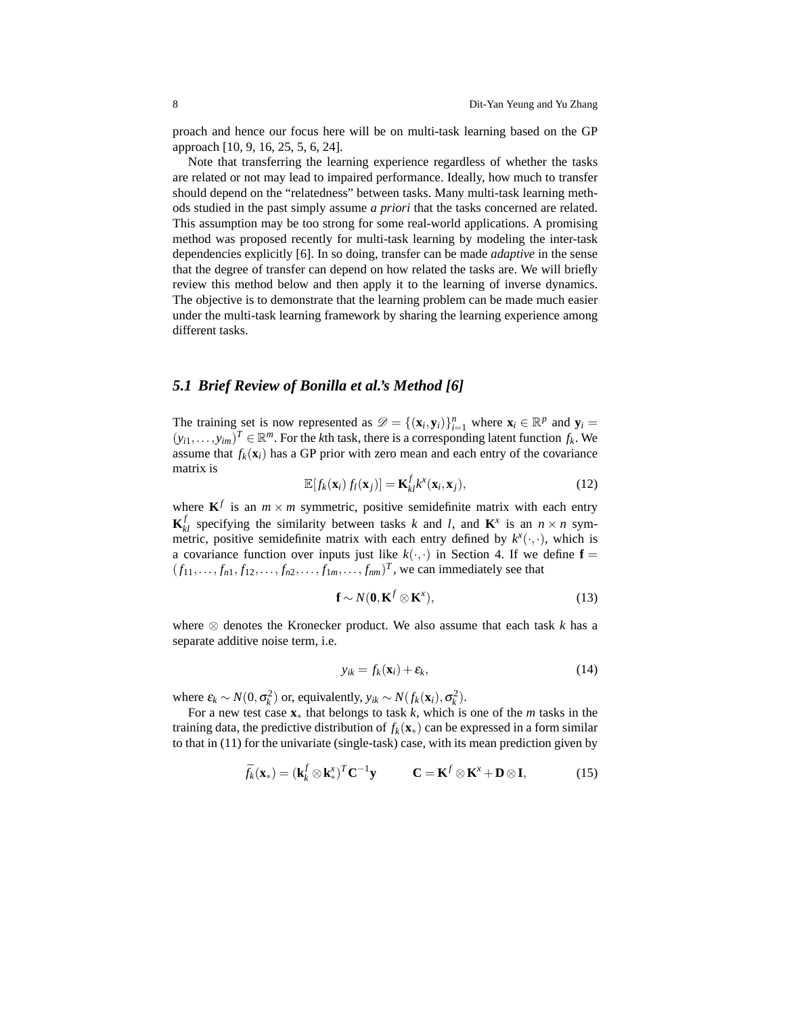proach and hence our focus here will be on multi-task learning based on the GP approach [10, 9, 16, 25, 5, 6, 24].

Note that transferring the learning experience regardless of whether the tasks are related or not may lead to impaired performance. Ideally, how much to transfer should depend on the "relatedness" between tasks. Many multi-task learning methods studied in the past simply assume *a priori* that the tasks concerned are related. This assumption may be too strong for some real-world applications. A promising method was proposed recently for multi-task learning by modeling the inter-task dependencies explicitly [6]. In so doing, transfer can be made *adaptive* in the sense that the degree of transfer can depend on how related the tasks are. We will briefly review this method below and then apply it to the learning of inverse dynamics. The objective is to demonstrate that the learning problem can be made much easier under the multi-task learning framework by sharing the learning experience among different tasks.

#### *5.1 Brief Review of Bonilla et al.'s Method [6]*

The training set is now represented as  $\mathcal{D} = \{(\mathbf{x}_i, \mathbf{y}_i)\}_{i=1}^n$  where  $\mathbf{x}_i \in \mathbb{R}^p$  and  $\mathbf{y}_i =$  $(y_{i1},...,y_{im})^T \in \mathbb{R}^m$ . For the *k*th task, there is a corresponding latent function  $f_k$ . We assume that  $f_k(\mathbf{x}_i)$  has a GP prior with zero mean and each entry of the covariance matrix is

$$
\mathbb{E}[f_k(\mathbf{x}_i)f_l(\mathbf{x}_j)] = \mathbf{K}_{kl}^f k^x(\mathbf{x}_i, \mathbf{x}_j),
$$
\n(12)

where  $K^f$  is an  $m \times m$  symmetric, positive semidefinite matrix with each entry **K**<sup>*f*</sup><sub>*kl*</sub> specifying the similarity between tasks *k* and *l*, and **K**<sup>*x*</sup> is an  $n \times n$  symmetric, positive semidefinite matrix with each entry defined by  $k^x(\cdot, \cdot)$ , which is a covariance function over inputs just like  $k(\cdot, \cdot)$  in Section 4. If we define  $\mathbf{f} =$  $(f_{11},\ldots,f_{n1},f_{12},\ldots,f_{n2},\ldots,f_{1m},\ldots,f_{nm})^T$ , we can immediately see that

$$
\mathbf{f} \sim N(\mathbf{0}, \mathbf{K}^f \otimes \mathbf{K}^x),\tag{13}
$$

where  $\otimes$  denotes the Kronecker product. We also assume that each task *k* has a separate additive noise term, i.e.

$$
y_{ik} = f_k(\mathbf{x}_i) + \varepsilon_k, \tag{14}
$$

where  $\varepsilon_k \sim N(0, \sigma_k^2)$  or, equivalently,  $y_{ik} \sim N(f_k(\mathbf{x}_i), \sigma_k^2)$ .

For a new test case **x**<sup>∗</sup> that belongs to task *k*, which is one of the *m* tasks in the training data, the predictive distribution of  $f_k(\mathbf{x})$  can be expressed in a form similar to that in (11) for the univariate (single-task) case, with its mean prediction given by

$$
\bar{f}_k(\mathbf{x}_*) = (\mathbf{k}_k^f \otimes \mathbf{k}_*)^T \mathbf{C}^{-1} \mathbf{y} \qquad \mathbf{C} = \mathbf{K}^f \otimes \mathbf{K}^x + \mathbf{D} \otimes \mathbf{I}, \tag{15}
$$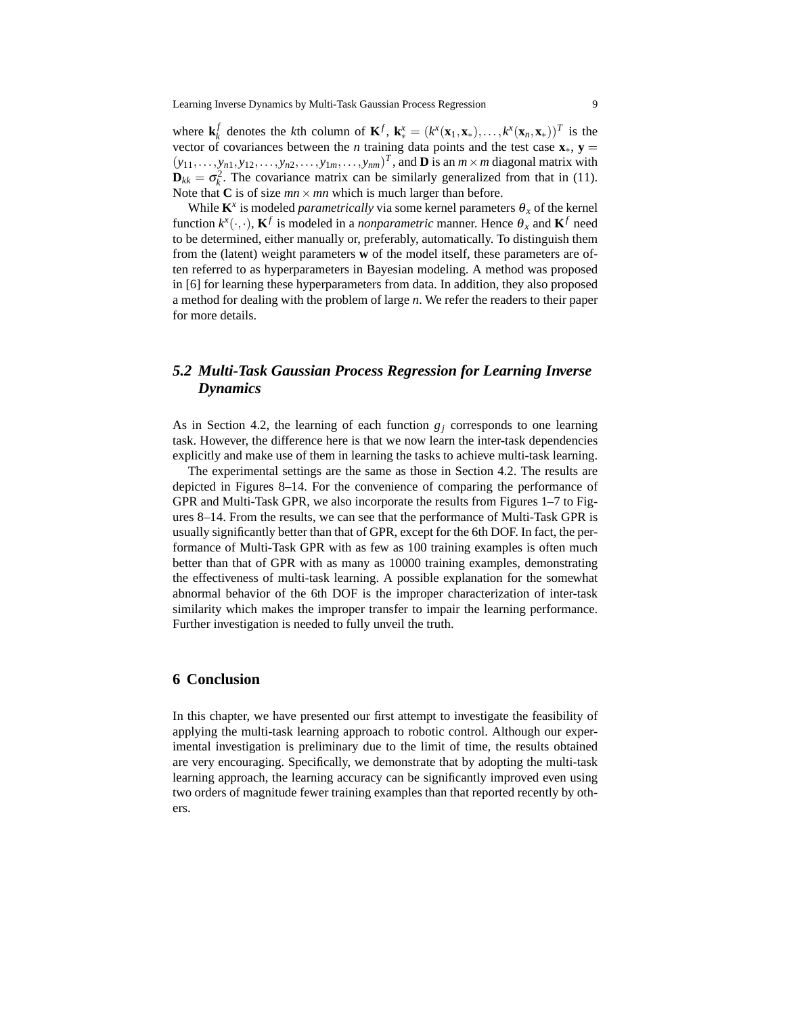where  $\mathbf{k}_k^f$  $\mathbf{F}_k^f$  denotes the *k*th column of  $\mathbf{K}^f$ ,  $\mathbf{k}_*^x = (k^x(\mathbf{x}_1, \mathbf{x}_*), \dots, k^x(\mathbf{x}_n, \mathbf{x}_*))^T$  is the vector of covariances between the *n* training data points and the test case  $\mathbf{x}^*$ ,  $\mathbf{y} =$  $(y_{11},...,y_{n1},y_{12},...,y_{n2},...,y_{1m},...,y_{nm})^T$ , and **D** is an  $m \times m$  diagonal matrix with  $\mathbf{D}_{kk} = \sigma_k^2$ . The covariance matrix can be similarly generalized from that in (11). Note that **C** is of size  $mn \times mn$  which is much larger than before.

While  $\mathbf{K}^x$  is modeled *parametrically* via some kernel parameters  $\theta_x$  of the kernel function  $k^x(\cdot, \cdot)$ ,  $\mathbf{K}^f$  is modeled in a *nonparametric* manner. Hence  $\theta_x$  and  $\mathbf{K}^f$  need to be determined, either manually or, preferably, automatically. To distinguish them from the (latent) weight parameters **w** of the model itself, these parameters are often referred to as hyperparameters in Bayesian modeling. A method was proposed in [6] for learning these hyperparameters from data. In addition, they also proposed a method for dealing with the problem of large *n*. We refer the readers to their paper for more details.

# *5.2 Multi-Task Gaussian Process Regression for Learning Inverse Dynamics*

As in Section 4.2, the learning of each function  $g_j$  corresponds to one learning task. However, the difference here is that we now learn the inter-task dependencies explicitly and make use of them in learning the tasks to achieve multi-task learning.

The experimental settings are the same as those in Section 4.2. The results are depicted in Figures 8–14. For the convenience of comparing the performance of GPR and Multi-Task GPR, we also incorporate the results from Figures 1–7 to Figures 8–14. From the results, we can see that the performance of Multi-Task GPR is usually significantly better than that of GPR, except for the 6th DOF. In fact, the performance of Multi-Task GPR with as few as 100 training examples is often much better than that of GPR with as many as 10000 training examples, demonstrating the effectiveness of multi-task learning. A possible explanation for the somewhat abnormal behavior of the 6th DOF is the improper characterization of inter-task similarity which makes the improper transfer to impair the learning performance. Further investigation is needed to fully unveil the truth.

# **6 Conclusion**

In this chapter, we have presented our first attempt to investigate the feasibility of applying the multi-task learning approach to robotic control. Although our experimental investigation is preliminary due to the limit of time, the results obtained are very encouraging. Specifically, we demonstrate that by adopting the multi-task learning approach, the learning accuracy can be significantly improved even using two orders of magnitude fewer training examples than that reported recently by others.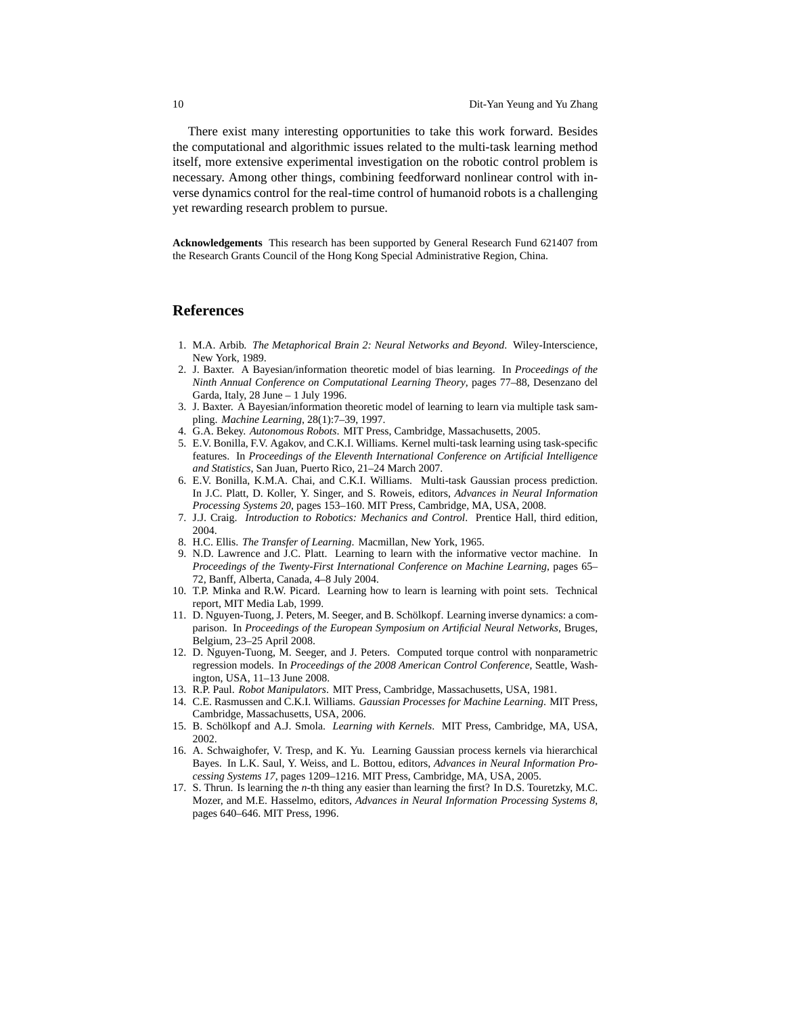There exist many interesting opportunities to take this work forward. Besides the computational and algorithmic issues related to the multi-task learning method itself, more extensive experimental investigation on the robotic control problem is necessary. Among other things, combining feedforward nonlinear control with inverse dynamics control for the real-time control of humanoid robots is a challenging yet rewarding research problem to pursue.

**Acknowledgements** This research has been supported by General Research Fund 621407 from the Research Grants Council of the Hong Kong Special Administrative Region, China.

#### **References**

- 1. M.A. Arbib. *The Metaphorical Brain 2: Neural Networks and Beyond*. Wiley-Interscience, New York, 1989.
- 2. J. Baxter. A Bayesian/information theoretic model of bias learning. In *Proceedings of the Ninth Annual Conference on Computational Learning Theory*, pages 77–88, Desenzano del Garda, Italy, 28 June – 1 July 1996.
- 3. J. Baxter. A Bayesian/information theoretic model of learning to learn via multiple task sampling. *Machine Learning*, 28(1):7–39, 1997.
- 4. G.A. Bekey. *Autonomous Robots*. MIT Press, Cambridge, Massachusetts, 2005.
- 5. E.V. Bonilla, F.V. Agakov, and C.K.I. Williams. Kernel multi-task learning using task-specific features. In *Proceedings of the Eleventh International Conference on Artificial Intelligence and Statistics*, San Juan, Puerto Rico, 21–24 March 2007.
- 6. E.V. Bonilla, K.M.A. Chai, and C.K.I. Williams. Multi-task Gaussian process prediction. In J.C. Platt, D. Koller, Y. Singer, and S. Roweis, editors, *Advances in Neural Information Processing Systems 20*, pages 153–160. MIT Press, Cambridge, MA, USA, 2008.
- 7. J.J. Craig. *Introduction to Robotics: Mechanics and Control*. Prentice Hall, third edition, 2004.
- 8. H.C. Ellis. *The Transfer of Learning*. Macmillan, New York, 1965.
- 9. N.D. Lawrence and J.C. Platt. Learning to learn with the informative vector machine. In *Proceedings of the Twenty-First International Conference on Machine Learning*, pages 65– 72, Banff, Alberta, Canada, 4–8 July 2004.
- 10. T.P. Minka and R.W. Picard. Learning how to learn is learning with point sets. Technical report, MIT Media Lab, 1999.
- 11. D. Nguyen-Tuong, J. Peters, M. Seeger, and B. Scholkopf. Learning inverse dynamics: a com- ¨ parison. In *Proceedings of the European Symposium on Artificial Neural Networks*, Bruges, Belgium, 23–25 April 2008.
- 12. D. Nguyen-Tuong, M. Seeger, and J. Peters. Computed torque control with nonparametric regression models. In *Proceedings of the 2008 American Control Conference*, Seattle, Washington, USA, 11–13 June 2008.
- 13. R.P. Paul. *Robot Manipulators*. MIT Press, Cambridge, Massachusetts, USA, 1981.
- 14. C.E. Rasmussen and C.K.I. Williams. *Gaussian Processes for Machine Learning*. MIT Press, Cambridge, Massachusetts, USA, 2006.
- 15. B. Schölkopf and A.J. Smola. *Learning with Kernels*. MIT Press, Cambridge, MA, USA, 2002.
- 16. A. Schwaighofer, V. Tresp, and K. Yu. Learning Gaussian process kernels via hierarchical Bayes. In L.K. Saul, Y. Weiss, and L. Bottou, editors, *Advances in Neural Information Processing Systems 17*, pages 1209–1216. MIT Press, Cambridge, MA, USA, 2005.
- 17. S. Thrun. Is learning the *n*-th thing any easier than learning the first? In D.S. Touretzky, M.C. Mozer, and M.E. Hasselmo, editors, *Advances in Neural Information Processing Systems 8*, pages 640–646. MIT Press, 1996.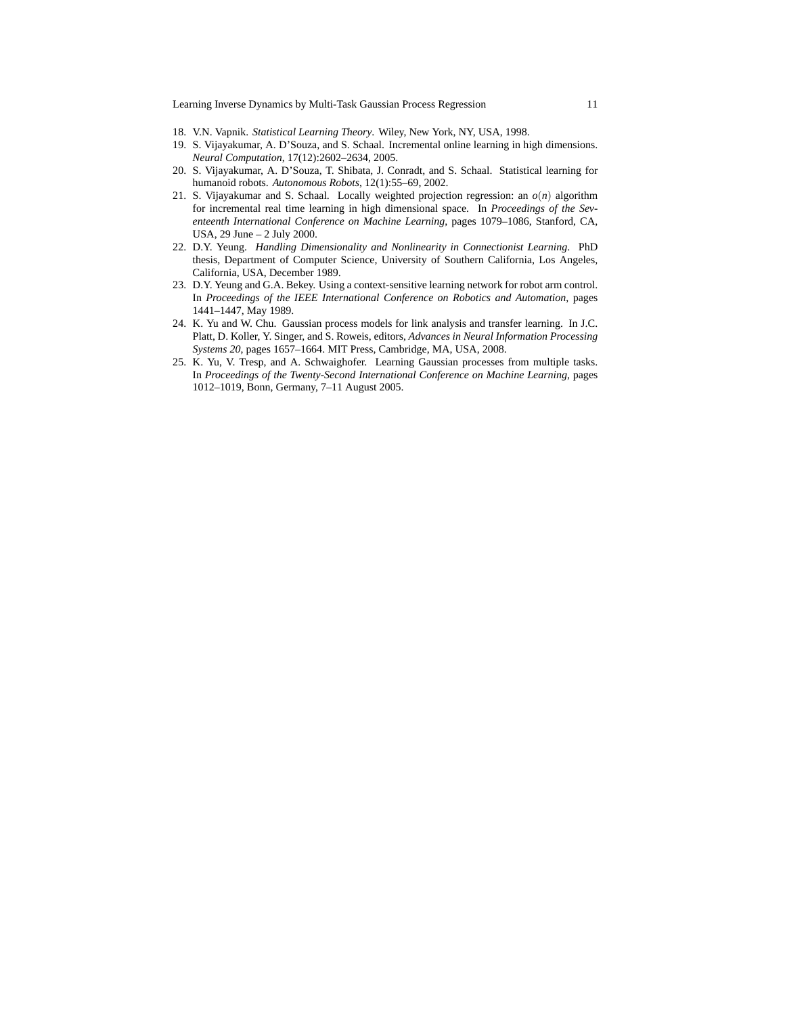Learning Inverse Dynamics by Multi-Task Gaussian Process Regression 11

- 18. V.N. Vapnik. *Statistical Learning Theory*. Wiley, New York, NY, USA, 1998.
- 19. S. Vijayakumar, A. D'Souza, and S. Schaal. Incremental online learning in high dimensions. *Neural Computation*, 17(12):2602–2634, 2005.
- 20. S. Vijayakumar, A. D'Souza, T. Shibata, J. Conradt, and S. Schaal. Statistical learning for humanoid robots. *Autonomous Robots*, 12(1):55–69, 2002.
- 21. S. Vijayakumar and S. Schaal. Locally weighted projection regression: an *o*(*n*) algorithm for incremental real time learning in high dimensional space. In *Proceedings of the Seventeenth International Conference on Machine Learning*, pages 1079–1086, Stanford, CA, USA, 29 June – 2 July 2000.
- 22. D.Y. Yeung. *Handling Dimensionality and Nonlinearity in Connectionist Learning*. PhD thesis, Department of Computer Science, University of Southern California, Los Angeles, California, USA, December 1989.
- 23. D.Y. Yeung and G.A. Bekey. Using a context-sensitive learning network for robot arm control. In *Proceedings of the IEEE International Conference on Robotics and Automation*, pages 1441–1447, May 1989.
- 24. K. Yu and W. Chu. Gaussian process models for link analysis and transfer learning. In J.C. Platt, D. Koller, Y. Singer, and S. Roweis, editors, *Advances in Neural Information Processing Systems 20*, pages 1657–1664. MIT Press, Cambridge, MA, USA, 2008.
- 25. K. Yu, V. Tresp, and A. Schwaighofer. Learning Gaussian processes from multiple tasks. In *Proceedings of the Twenty-Second International Conference on Machine Learning*, pages 1012–1019, Bonn, Germany, 7–11 August 2005.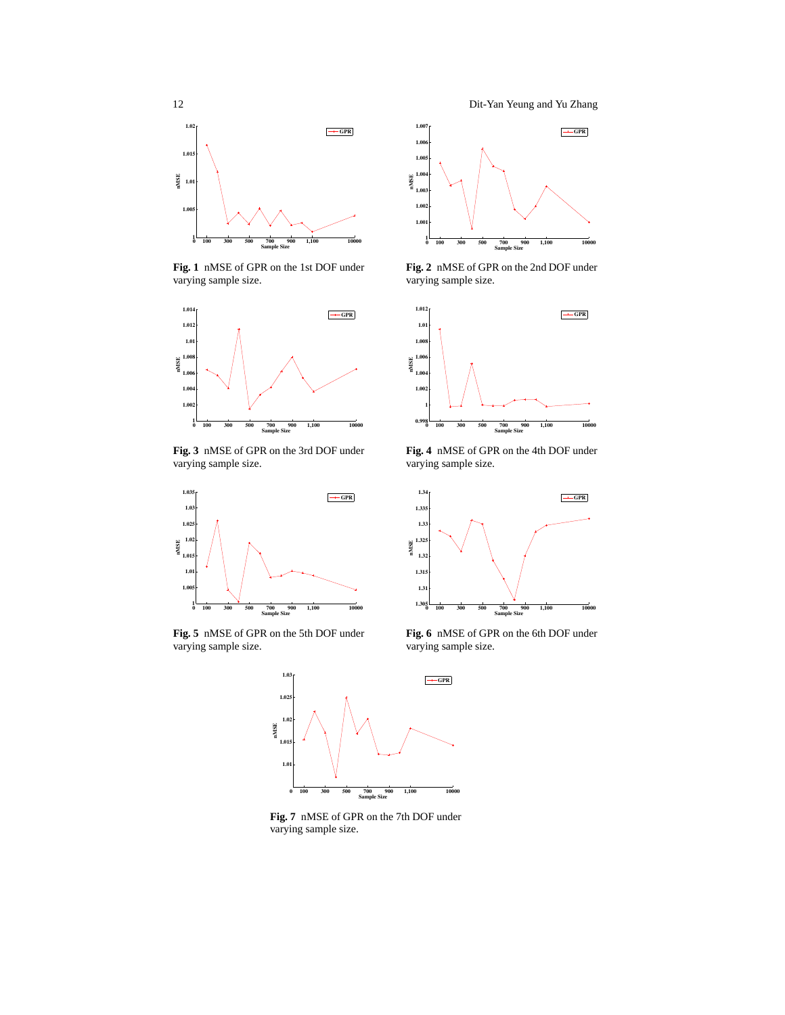

**Fig. 1** nMSE of GPR on the 1st DOF under varying sample size.



**Fig. 3** nMSE of GPR on the 3rd DOF under varying sample size.



**Fig. 5** nMSE of GPR on the 5th DOF under varying sample size.

**1.03**



**Fig. 2** nMSE of GPR on the 2nd DOF under varying sample size.



**Fig. 4** nMSE of GPR on the 4th DOF under varying sample size.



**Fig. 6** nMSE of GPR on the 6th DOF under varying sample size.

 $\rightarrow$  GPR



**Fig. 7** nMSE of GPR on the 7th DOF under varying sample size.